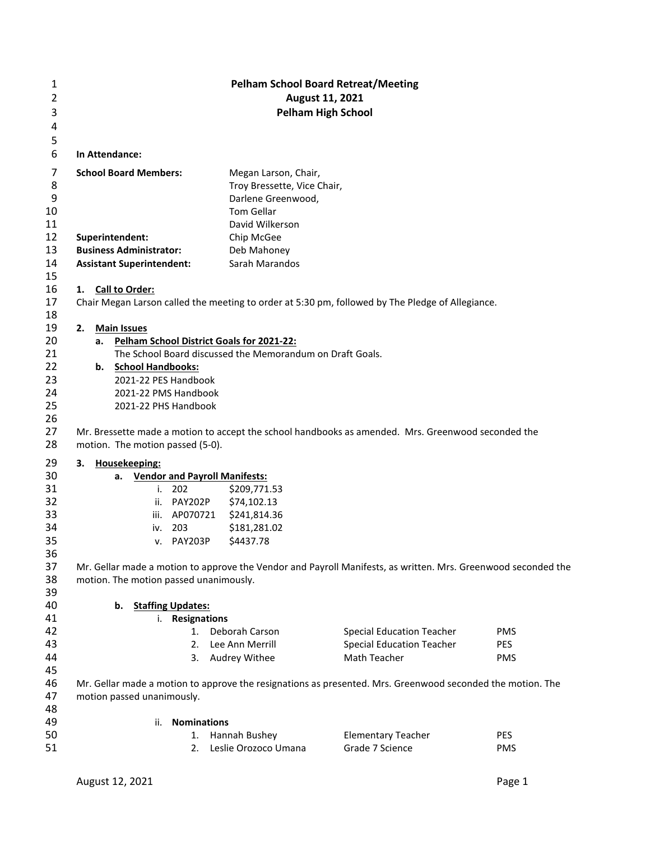| 1<br>2<br>3<br>4        |                                                                                                               | <b>Pelham School Board Retreat/Meeting</b><br>August 11, 2021<br><b>Pelham High School</b>                        |                                  |            |  |  |  |  |  |
|-------------------------|---------------------------------------------------------------------------------------------------------------|-------------------------------------------------------------------------------------------------------------------|----------------------------------|------------|--|--|--|--|--|
| 5<br>6                  | In Attendance:                                                                                                |                                                                                                                   |                                  |            |  |  |  |  |  |
| 7<br>8<br>9<br>10<br>11 | <b>School Board Members:</b>                                                                                  | Megan Larson, Chair,<br>Troy Bressette, Vice Chair,<br>Darlene Greenwood,<br><b>Tom Gellar</b><br>David Wilkerson |                                  |            |  |  |  |  |  |
| 12                      | Superintendent:                                                                                               | Chip McGee                                                                                                        |                                  |            |  |  |  |  |  |
| 13                      | <b>Business Administrator:</b>                                                                                | Deb Mahoney                                                                                                       |                                  |            |  |  |  |  |  |
| 14                      | <b>Assistant Superintendent:</b>                                                                              | Sarah Marandos                                                                                                    |                                  |            |  |  |  |  |  |
| 15                      |                                                                                                               |                                                                                                                   |                                  |            |  |  |  |  |  |
| 16                      | 1. Call to Order:                                                                                             |                                                                                                                   |                                  |            |  |  |  |  |  |
| 17                      | Chair Megan Larson called the meeting to order at 5:30 pm, followed by The Pledge of Allegiance.              |                                                                                                                   |                                  |            |  |  |  |  |  |
| 18                      |                                                                                                               |                                                                                                                   |                                  |            |  |  |  |  |  |
| 19                      | <b>Main Issues</b><br>2.                                                                                      |                                                                                                                   |                                  |            |  |  |  |  |  |
| 20                      |                                                                                                               |                                                                                                                   |                                  |            |  |  |  |  |  |
| 21                      | a. Pelham School District Goals for 2021-22:<br>The School Board discussed the Memorandum on Draft Goals.     |                                                                                                                   |                                  |            |  |  |  |  |  |
| 22                      | b. School Handbooks:                                                                                          |                                                                                                                   |                                  |            |  |  |  |  |  |
| 23                      | 2021-22 PES Handbook                                                                                          |                                                                                                                   |                                  |            |  |  |  |  |  |
| 24                      | 2021-22 PMS Handbook                                                                                          |                                                                                                                   |                                  |            |  |  |  |  |  |
| 25                      | 2021-22 PHS Handbook                                                                                          |                                                                                                                   |                                  |            |  |  |  |  |  |
| 26                      |                                                                                                               |                                                                                                                   |                                  |            |  |  |  |  |  |
| 27                      | Mr. Bressette made a motion to accept the school handbooks as amended. Mrs. Greenwood seconded the            |                                                                                                                   |                                  |            |  |  |  |  |  |
| 28                      |                                                                                                               |                                                                                                                   |                                  |            |  |  |  |  |  |
|                         | motion. The motion passed (5-0).                                                                              |                                                                                                                   |                                  |            |  |  |  |  |  |
| 29                      | Housekeeping:<br>3.                                                                                           |                                                                                                                   |                                  |            |  |  |  |  |  |
| 30                      | <b>Vendor and Payroll Manifests:</b><br>а.                                                                    |                                                                                                                   |                                  |            |  |  |  |  |  |
| 31                      | 202<br>i.                                                                                                     | \$209,771.53                                                                                                      |                                  |            |  |  |  |  |  |
| 32                      | ii. PAY202P                                                                                                   | \$74,102.13                                                                                                       |                                  |            |  |  |  |  |  |
| 33                      | AP070721<br>iii.                                                                                              | \$241,814.36                                                                                                      |                                  |            |  |  |  |  |  |
| 34                      | 203<br>iv.                                                                                                    | \$181,281.02                                                                                                      |                                  |            |  |  |  |  |  |
| 35                      | v. PAY203P                                                                                                    | \$4437.78                                                                                                         |                                  |            |  |  |  |  |  |
| 36                      |                                                                                                               |                                                                                                                   |                                  |            |  |  |  |  |  |
| 37                      | Mr. Gellar made a motion to approve the Vendor and Payroll Manifests, as written. Mrs. Greenwood seconded the |                                                                                                                   |                                  |            |  |  |  |  |  |
| 38                      | motion. The motion passed unanimously.                                                                        |                                                                                                                   |                                  |            |  |  |  |  |  |
| 39                      |                                                                                                               |                                                                                                                   |                                  |            |  |  |  |  |  |
| 40                      | <b>Staffing Updates:</b><br>b.                                                                                |                                                                                                                   |                                  |            |  |  |  |  |  |
| 41                      | i. Resignations                                                                                               |                                                                                                                   |                                  |            |  |  |  |  |  |
| 42                      |                                                                                                               | 1. Deborah Carson                                                                                                 | <b>Special Education Teacher</b> | <b>PMS</b> |  |  |  |  |  |
| 43                      | 2.                                                                                                            | Lee Ann Merrill                                                                                                   | <b>Special Education Teacher</b> | PES        |  |  |  |  |  |
| 44                      | 3.                                                                                                            | Audrey Withee                                                                                                     | Math Teacher                     | <b>PMS</b> |  |  |  |  |  |
| 45                      |                                                                                                               |                                                                                                                   |                                  |            |  |  |  |  |  |
| 46                      | Mr. Gellar made a motion to approve the resignations as presented. Mrs. Greenwood seconded the motion. The    |                                                                                                                   |                                  |            |  |  |  |  |  |
| 47                      | motion passed unanimously.                                                                                    |                                                                                                                   |                                  |            |  |  |  |  |  |
| 48                      |                                                                                                               |                                                                                                                   |                                  |            |  |  |  |  |  |
| 49                      | <b>Nominations</b><br>ii.                                                                                     |                                                                                                                   |                                  |            |  |  |  |  |  |
| 50                      | 1.                                                                                                            | Hannah Bushey                                                                                                     | <b>Elementary Teacher</b>        | <b>PES</b> |  |  |  |  |  |
| 51                      | 2.                                                                                                            | Leslie Orozoco Umana                                                                                              | Grade 7 Science                  | <b>PMS</b> |  |  |  |  |  |
|                         |                                                                                                               |                                                                                                                   |                                  |            |  |  |  |  |  |